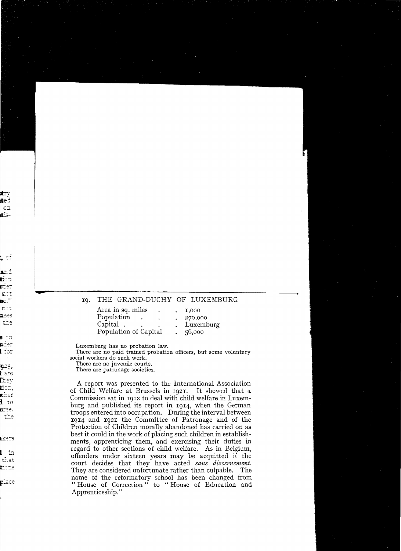## THE GRAND-DUCHY OF LUXEMBURG IQ.

| Area in sq. miles     | $\blacksquare$ | 1,000     |
|-----------------------|----------------|-----------|
| Population            | ٠              | 270,000   |
| Capital.              |                | Luxemburg |
| Population of Capital |                | 56,000    |

Luxemburg has no probation law.

There are no paid trained probation officers, but some voluntary social workers do such work.

There are no juvenile courts.

There are patronage societies.

A report was presented to the International Association of Child Welfare at Brussels in 1921. It showed that a Commission sat in 1012 to deal with child welfare in Luxemburg and published its report in 1914, when the German troops entered into occupation. During the interval between 1914 and 1921 the Committee of Patronage and of the Protection of Children morally abandoned has carried on as best it could in the work of placing such children in establishments, apprenticing them, and exercising their duties in regard to other sections of child welfare. As in Belgium, offenders under sixteen years may be acquitted if the court decides that they have acted sans discernement. They are considered unfortunate rather than culpable. The name of the reformatory school has been changed from "House of Correction" to "House of Education and Apprenticeship."